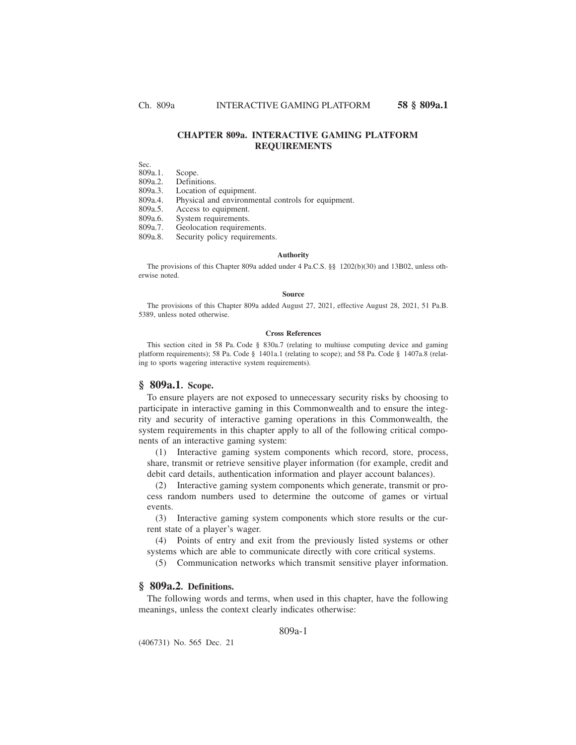# **CHAPTER 809a. INTERACTIVE GAMING PLATFORM REQUIREMENTS**

Sec.

809a.1. Scope.

Definitions.

809a.3. Location of equipment.

809a.4. Physical and environmental controls for equipment.

809a.5. Access to equipment.<br>809a.6. System requirements.

809a.6. System requirements.<br>809a.7. Geolocation requirem 809a.7. Geolocation requirements.<br>809a.8. Security policy requirements

Security policy requirements.

#### **Authority**

The provisions of this Chapter 809a added under 4 Pa.C.S. §§ 1202(b)(30) and 13B02, unless otherwise noted.

#### **Source**

The provisions of this Chapter 809a added August 27, 2021, effective August 28, 2021, 51 Pa.B. 5389, unless noted otherwise.

#### **Cross References**

This section cited in 58 Pa. Code § 830a.7 (relating to multiuse computing device and gaming platform requirements); 58 Pa. Code § 1401a.1 (relating to scope); and 58 Pa. Code § 1407a.8 (relating to sports wagering interactive system requirements).

## **§ 809a.1. Scope.**

To ensure players are not exposed to unnecessary security risks by choosing to participate in interactive gaming in this Commonwealth and to ensure the integrity and security of interactive gaming operations in this Commonwealth, the system requirements in this chapter apply to all of the following critical components of an interactive gaming system:

(1) Interactive gaming system components which record, store, process, share, transmit or retrieve sensitive player information (for example, credit and debit card details, authentication information and player account balances).

(2) Interactive gaming system components which generate, transmit or process random numbers used to determine the outcome of games or virtual events.

(3) Interactive gaming system components which store results or the current state of a player's wager.

(4) Points of entry and exit from the previously listed systems or other systems which are able to communicate directly with core critical systems.

(5) Communication networks which transmit sensitive player information.

## **§ 809a.2. Definitions.**

The following words and terms, when used in this chapter, have the following meanings, unless the context clearly indicates otherwise:

#### 809a-1

(406731) No. 565 Dec. 21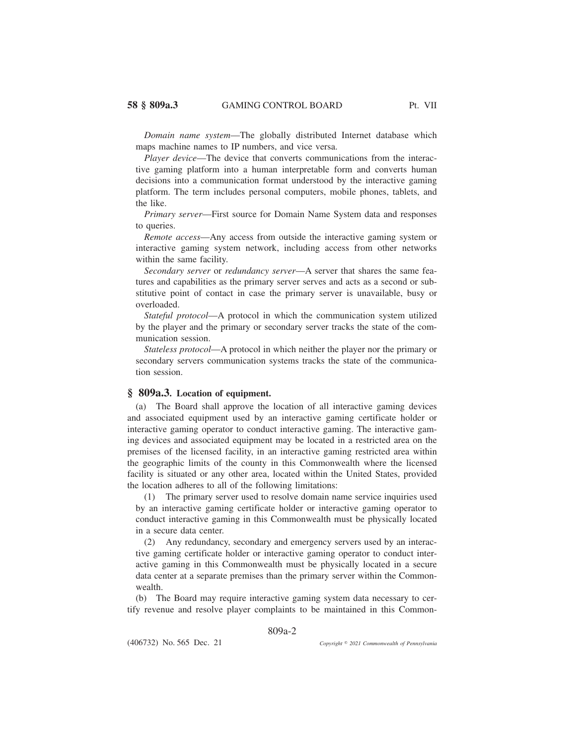*Domain name system*—The globally distributed Internet database which maps machine names to IP numbers, and vice versa.

*Player device*—The device that converts communications from the interactive gaming platform into a human interpretable form and converts human decisions into a communication format understood by the interactive gaming platform. The term includes personal computers, mobile phones, tablets, and the like.

*Primary server*—First source for Domain Name System data and responses to queries.

*Remote access*—Any access from outside the interactive gaming system or interactive gaming system network, including access from other networks within the same facility.

*Secondary server* or *redundancy server*—A server that shares the same features and capabilities as the primary server serves and acts as a second or substitutive point of contact in case the primary server is unavailable, busy or overloaded.

*Stateful protocol*—A protocol in which the communication system utilized by the player and the primary or secondary server tracks the state of the communication session.

*Stateless protocol*—A protocol in which neither the player nor the primary or secondary servers communication systems tracks the state of the communication session.

# **§ 809a.3. Location of equipment.**

(a) The Board shall approve the location of all interactive gaming devices and associated equipment used by an interactive gaming certificate holder or interactive gaming operator to conduct interactive gaming. The interactive gaming devices and associated equipment may be located in a restricted area on the premises of the licensed facility, in an interactive gaming restricted area within the geographic limits of the county in this Commonwealth where the licensed facility is situated or any other area, located within the United States, provided the location adheres to all of the following limitations:

(1) The primary server used to resolve domain name service inquiries used by an interactive gaming certificate holder or interactive gaming operator to conduct interactive gaming in this Commonwealth must be physically located in a secure data center.

(2) Any redundancy, secondary and emergency servers used by an interactive gaming certificate holder or interactive gaming operator to conduct interactive gaming in this Commonwealth must be physically located in a secure data center at a separate premises than the primary server within the Commonwealth.

(b) The Board may require interactive gaming system data necessary to certify revenue and resolve player complaints to be maintained in this Common-

809a-2

(406732) No. 565 Dec. 21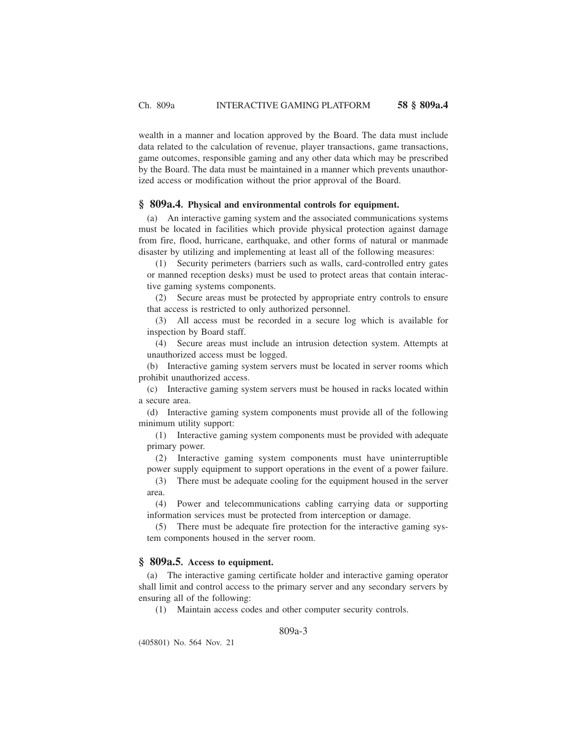wealth in a manner and location approved by the Board. The data must include data related to the calculation of revenue, player transactions, game transactions, game outcomes, responsible gaming and any other data which may be prescribed by the Board. The data must be maintained in a manner which prevents unauthorized access or modification without the prior approval of the Board.

### **§ 809a.4. Physical and environmental controls for equipment.**

(a) An interactive gaming system and the associated communications systems must be located in facilities which provide physical protection against damage from fire, flood, hurricane, earthquake, and other forms of natural or manmade disaster by utilizing and implementing at least all of the following measures:

(1) Security perimeters (barriers such as walls, card-controlled entry gates or manned reception desks) must be used to protect areas that contain interactive gaming systems components.

(2) Secure areas must be protected by appropriate entry controls to ensure that access is restricted to only authorized personnel.

(3) All access must be recorded in a secure log which is available for inspection by Board staff.

(4) Secure areas must include an intrusion detection system. Attempts at unauthorized access must be logged.

(b) Interactive gaming system servers must be located in server rooms which prohibit unauthorized access.

(c) Interactive gaming system servers must be housed in racks located within a secure area.

(d) Interactive gaming system components must provide all of the following minimum utility support:

(1) Interactive gaming system components must be provided with adequate primary power.

(2) Interactive gaming system components must have uninterruptible power supply equipment to support operations in the event of a power failure.

(3) There must be adequate cooling for the equipment housed in the server area.

(4) Power and telecommunications cabling carrying data or supporting information services must be protected from interception or damage.

(5) There must be adequate fire protection for the interactive gaming system components housed in the server room.

## **§ 809a.5. Access to equipment.**

(a) The interactive gaming certificate holder and interactive gaming operator shall limit and control access to the primary server and any secondary servers by ensuring all of the following:

(1) Maintain access codes and other computer security controls.

809a-3

(405801) No. 564 Nov. 21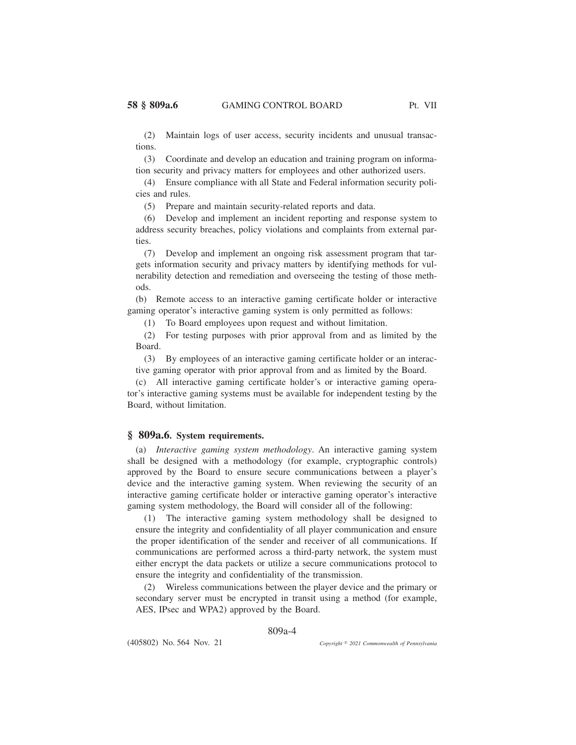(2) Maintain logs of user access, security incidents and unusual transactions.

(3) Coordinate and develop an education and training program on information security and privacy matters for employees and other authorized users.

(4) Ensure compliance with all State and Federal information security policies and rules.

(5) Prepare and maintain security-related reports and data.

(6) Develop and implement an incident reporting and response system to address security breaches, policy violations and complaints from external parties.

(7) Develop and implement an ongoing risk assessment program that targets information security and privacy matters by identifying methods for vulnerability detection and remediation and overseeing the testing of those methods.

(b) Remote access to an interactive gaming certificate holder or interactive gaming operator's interactive gaming system is only permitted as follows:

(1) To Board employees upon request and without limitation.

(2) For testing purposes with prior approval from and as limited by the Board.

(3) By employees of an interactive gaming certificate holder or an interactive gaming operator with prior approval from and as limited by the Board.

(c) All interactive gaming certificate holder's or interactive gaming operator's interactive gaming systems must be available for independent testing by the Board, without limitation.

## **§ 809a.6. System requirements.**

(a) *Interactive gaming system methodology*. An interactive gaming system shall be designed with a methodology (for example, cryptographic controls) approved by the Board to ensure secure communications between a player's device and the interactive gaming system. When reviewing the security of an interactive gaming certificate holder or interactive gaming operator's interactive gaming system methodology, the Board will consider all of the following:

(1) The interactive gaming system methodology shall be designed to ensure the integrity and confidentiality of all player communication and ensure the proper identification of the sender and receiver of all communications. If communications are performed across a third-party network, the system must either encrypt the data packets or utilize a secure communications protocol to ensure the integrity and confidentiality of the transmission.

(2) Wireless communications between the player device and the primary or secondary server must be encrypted in transit using a method (for example, AES, IPsec and WPA2) approved by the Board.

809a-4

(405802) No. 564 Nov. 21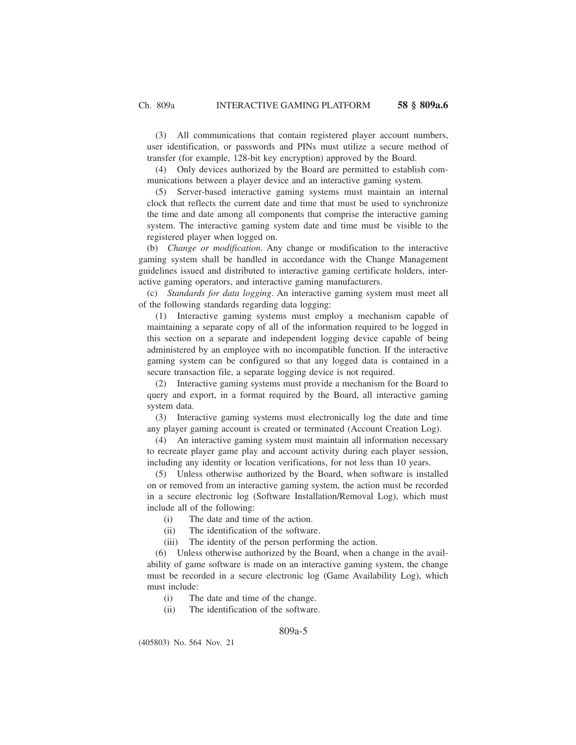(3) All communications that contain registered player account numbers, user identification, or passwords and PINs must utilize a secure method of transfer (for example, 128-bit key encryption) approved by the Board.

(4) Only devices authorized by the Board are permitted to establish communications between a player device and an interactive gaming system.

(5) Server-based interactive gaming systems must maintain an internal clock that reflects the current date and time that must be used to synchronize the time and date among all components that comprise the interactive gaming system. The interactive gaming system date and time must be visible to the registered player when logged on.

(b) *Change or modification*. Any change or modification to the interactive gaming system shall be handled in accordance with the Change Management guidelines issued and distributed to interactive gaming certificate holders, interactive gaming operators, and interactive gaming manufacturers.

(c) *Standards for data logging*. An interactive gaming system must meet all of the following standards regarding data logging:

(1) Interactive gaming systems must employ a mechanism capable of maintaining a separate copy of all of the information required to be logged in this section on a separate and independent logging device capable of being administered by an employee with no incompatible function. If the interactive gaming system can be configured so that any logged data is contained in a secure transaction file, a separate logging device is not required.

(2) Interactive gaming systems must provide a mechanism for the Board to query and export, in a format required by the Board, all interactive gaming system data.

(3) Interactive gaming systems must electronically log the date and time any player gaming account is created or terminated (Account Creation Log).

(4) An interactive gaming system must maintain all information necessary to recreate player game play and account activity during each player session, including any identity or location verifications, for not less than 10 years.

(5) Unless otherwise authorized by the Board, when software is installed on or removed from an interactive gaming system, the action must be recorded in a secure electronic log (Software Installation/Removal Log), which must include all of the following:

- (i) The date and time of the action.
- (ii) The identification of the software.
- (iii) The identity of the person performing the action.

(6) Unless otherwise authorized by the Board, when a change in the availability of game software is made on an interactive gaming system, the change must be recorded in a secure electronic log (Game Availability Log), which must include:

- (i) The date and time of the change.
- (ii) The identification of the software.

809a-5

(405803) No. 564 Nov. 21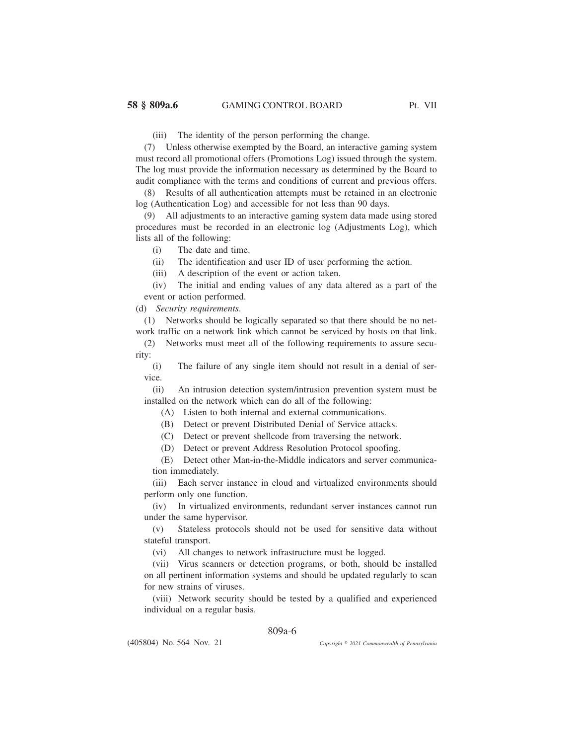(iii) The identity of the person performing the change.

(7) Unless otherwise exempted by the Board, an interactive gaming system must record all promotional offers (Promotions Log) issued through the system. The log must provide the information necessary as determined by the Board to audit compliance with the terms and conditions of current and previous offers.

Results of all authentication attempts must be retained in an electronic log (Authentication Log) and accessible for not less than 90 days.

(9) All adjustments to an interactive gaming system data made using stored procedures must be recorded in an electronic log (Adjustments Log), which lists all of the following:

(i) The date and time.

(ii) The identification and user ID of user performing the action.

(iii) A description of the event or action taken.

(iv) The initial and ending values of any data altered as a part of the event or action performed.

(d) *Security requirements*.

(1) Networks should be logically separated so that there should be no network traffic on a network link which cannot be serviced by hosts on that link.

(2) Networks must meet all of the following requirements to assure security:

(i) The failure of any single item should not result in a denial of service.

(ii) An intrusion detection system/intrusion prevention system must be installed on the network which can do all of the following:

(A) Listen to both internal and external communications.

(B) Detect or prevent Distributed Denial of Service attacks.

(C) Detect or prevent shellcode from traversing the network.

(D) Detect or prevent Address Resolution Protocol spoofing.

(E) Detect other Man-in-the-Middle indicators and server communication immediately.

(iii) Each server instance in cloud and virtualized environments should perform only one function.

(iv) In virtualized environments, redundant server instances cannot run under the same hypervisor.

(v) Stateless protocols should not be used for sensitive data without stateful transport.

(vi) All changes to network infrastructure must be logged.

(vii) Virus scanners or detection programs, or both, should be installed on all pertinent information systems and should be updated regularly to scan for new strains of viruses.

(viii) Network security should be tested by a qualified and experienced individual on a regular basis.

## 809a-6

(405804) No. 564 Nov. 21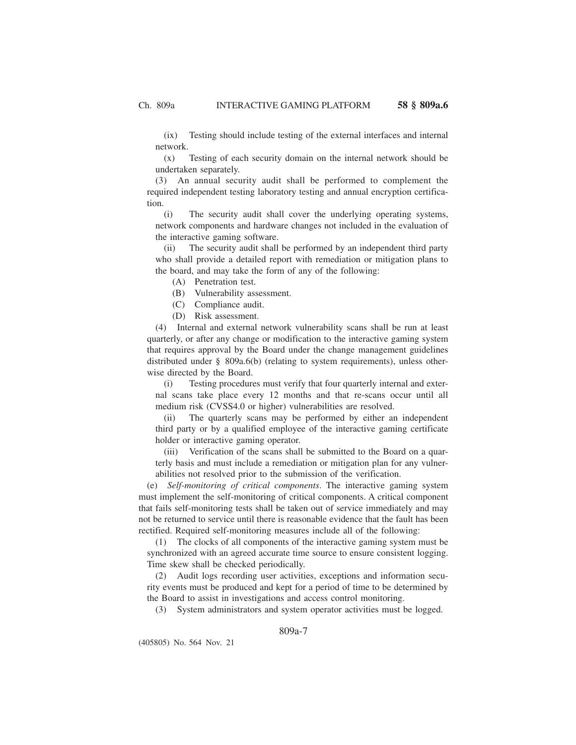(ix) Testing should include testing of the external interfaces and internal network.

(x) Testing of each security domain on the internal network should be undertaken separately.

(3) An annual security audit shall be performed to complement the required independent testing laboratory testing and annual encryption certification.

(i) The security audit shall cover the underlying operating systems, network components and hardware changes not included in the evaluation of the interactive gaming software.

(ii) The security audit shall be performed by an independent third party who shall provide a detailed report with remediation or mitigation plans to the board, and may take the form of any of the following:

(A) Penetration test.

(B) Vulnerability assessment.

(C) Compliance audit.

(D) Risk assessment.

(4) Internal and external network vulnerability scans shall be run at least quarterly, or after any change or modification to the interactive gaming system that requires approval by the Board under the change management guidelines distributed under § 809a.6(b) (relating to system requirements), unless otherwise directed by the Board.

(i) Testing procedures must verify that four quarterly internal and external scans take place every 12 months and that re-scans occur until all medium risk (CVSS4.0 or higher) vulnerabilities are resolved.

(ii) The quarterly scans may be performed by either an independent third party or by a qualified employee of the interactive gaming certificate holder or interactive gaming operator.

(iii) Verification of the scans shall be submitted to the Board on a quarterly basis and must include a remediation or mitigation plan for any vulnerabilities not resolved prior to the submission of the verification.

(e) *Self-monitoring of critical components*. The interactive gaming system must implement the self-monitoring of critical components. A critical component that fails self-monitoring tests shall be taken out of service immediately and may not be returned to service until there is reasonable evidence that the fault has been rectified. Required self-monitoring measures include all of the following:

(1) The clocks of all components of the interactive gaming system must be synchronized with an agreed accurate time source to ensure consistent logging. Time skew shall be checked periodically.

(2) Audit logs recording user activities, exceptions and information security events must be produced and kept for a period of time to be determined by the Board to assist in investigations and access control monitoring.

(3) System administrators and system operator activities must be logged.

## 809a-7

(405805) No. 564 Nov. 21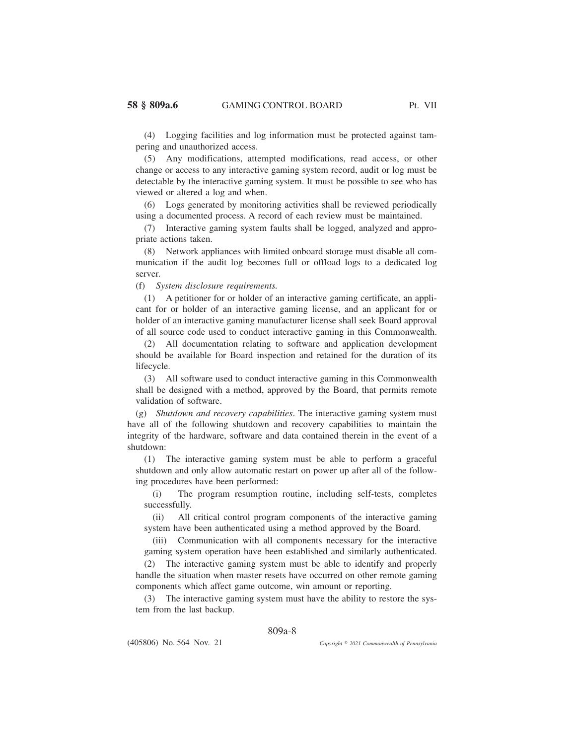(4) Logging facilities and log information must be protected against tampering and unauthorized access.

(5) Any modifications, attempted modifications, read access, or other change or access to any interactive gaming system record, audit or log must be detectable by the interactive gaming system. It must be possible to see who has viewed or altered a log and when.

(6) Logs generated by monitoring activities shall be reviewed periodically using a documented process. A record of each review must be maintained.

(7) Interactive gaming system faults shall be logged, analyzed and appropriate actions taken.

(8) Network appliances with limited onboard storage must disable all communication if the audit log becomes full or offload logs to a dedicated log server.

(f) *System disclosure requirements.*

(1) A petitioner for or holder of an interactive gaming certificate, an applicant for or holder of an interactive gaming license, and an applicant for or holder of an interactive gaming manufacturer license shall seek Board approval of all source code used to conduct interactive gaming in this Commonwealth.

(2) All documentation relating to software and application development should be available for Board inspection and retained for the duration of its lifecycle.

(3) All software used to conduct interactive gaming in this Commonwealth shall be designed with a method, approved by the Board, that permits remote validation of software.

(g) *Shutdown and recovery capabilities*. The interactive gaming system must have all of the following shutdown and recovery capabilities to maintain the integrity of the hardware, software and data contained therein in the event of a shutdown:

(1) The interactive gaming system must be able to perform a graceful shutdown and only allow automatic restart on power up after all of the following procedures have been performed:

(i) The program resumption routine, including self-tests, completes successfully.

(ii) All critical control program components of the interactive gaming system have been authenticated using a method approved by the Board.

(iii) Communication with all components necessary for the interactive gaming system operation have been established and similarly authenticated.

(2) The interactive gaming system must be able to identify and properly handle the situation when master resets have occurred on other remote gaming components which affect game outcome, win amount or reporting.

(3) The interactive gaming system must have the ability to restore the system from the last backup.

## 809a-8

(405806) No. 564 Nov. 21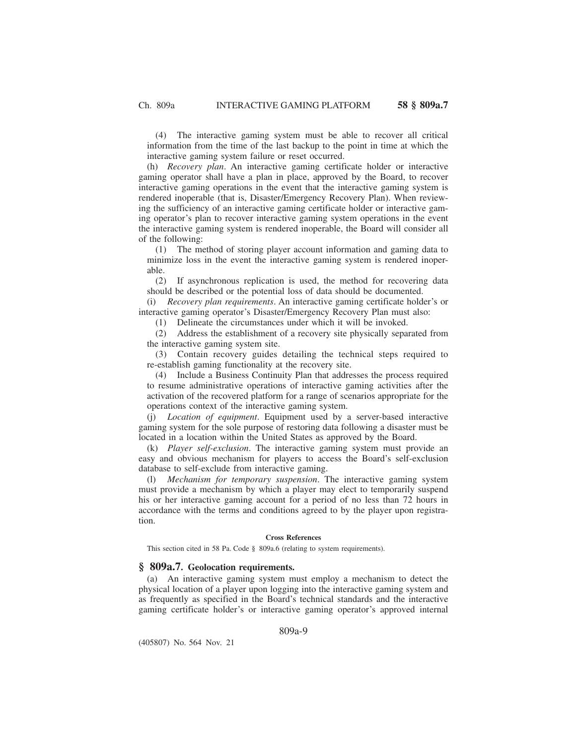(4) The interactive gaming system must be able to recover all critical information from the time of the last backup to the point in time at which the interactive gaming system failure or reset occurred.

(h) *Recovery plan*. An interactive gaming certificate holder or interactive gaming operator shall have a plan in place, approved by the Board, to recover interactive gaming operations in the event that the interactive gaming system is rendered inoperable (that is, Disaster/Emergency Recovery Plan). When reviewing the sufficiency of an interactive gaming certificate holder or interactive gaming operator's plan to recover interactive gaming system operations in the event the interactive gaming system is rendered inoperable, the Board will consider all of the following:

(1) The method of storing player account information and gaming data to minimize loss in the event the interactive gaming system is rendered inoperable.

(2) If asynchronous replication is used, the method for recovering data should be described or the potential loss of data should be documented.

(i) *Recovery plan requirements*. An interactive gaming certificate holder's or interactive gaming operator's Disaster/Emergency Recovery Plan must also:

(1) Delineate the circumstances under which it will be invoked.

(2) Address the establishment of a recovery site physically separated from the interactive gaming system site.

(3) Contain recovery guides detailing the technical steps required to re-establish gaming functionality at the recovery site.

(4) Include a Business Continuity Plan that addresses the process required to resume administrative operations of interactive gaming activities after the activation of the recovered platform for a range of scenarios appropriate for the operations context of the interactive gaming system.

(j) *Location of equipment*. Equipment used by a server-based interactive gaming system for the sole purpose of restoring data following a disaster must be located in a location within the United States as approved by the Board.

(k) *Player self-exclusion*. The interactive gaming system must provide an easy and obvious mechanism for players to access the Board's self-exclusion database to self-exclude from interactive gaming.

(l) *Mechanism for temporary suspension*. The interactive gaming system must provide a mechanism by which a player may elect to temporarily suspend his or her interactive gaming account for a period of no less than 72 hours in accordance with the terms and conditions agreed to by the player upon registration.

#### **Cross References**

This section cited in 58 Pa. Code § 809a.6 (relating to system requirements).

### **§ 809a.7. Geolocation requirements.**

(a) An interactive gaming system must employ a mechanism to detect the physical location of a player upon logging into the interactive gaming system and as frequently as specified in the Board's technical standards and the interactive gaming certificate holder's or interactive gaming operator's approved internal

809a-9

(405807) No. 564 Nov. 21